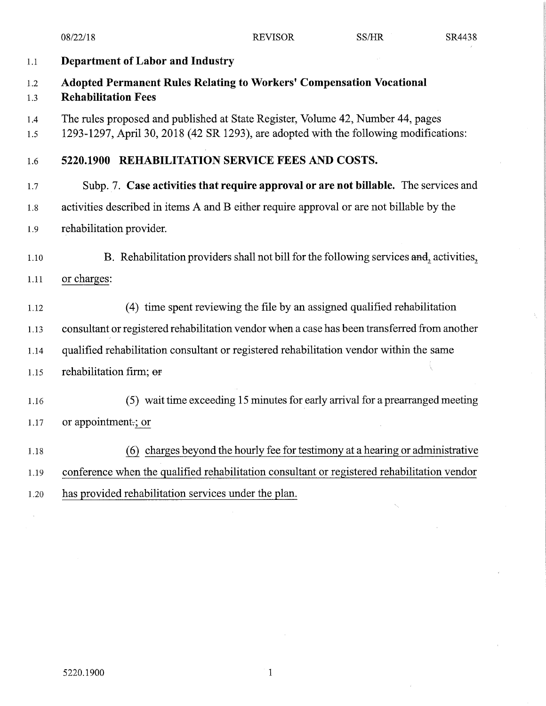08/22/18

**REVISOR** 

 $\tilde{\lambda}_1$ 

| $1.1\,$    | Department of Labor and Industry                                                                                                                                         |
|------------|--------------------------------------------------------------------------------------------------------------------------------------------------------------------------|
| 1.2<br>1.3 | <b>Adopted Permanent Rules Relating to Workers' Compensation Vocational</b><br><b>Rehabilitation Fees</b>                                                                |
| 1.4<br>1.5 | The rules proposed and published at State Register, Volume 42, Number 44, pages<br>1293-1297, April 30, 2018 (42 SR 1293), are adopted with the following modifications: |
| 1.6        | 5220.1900 REHABILITATION SERVICE FEES AND COSTS.                                                                                                                         |
| 1.7        | Subp. 7. Case activities that require approval or are not billable. The services and                                                                                     |
| 1.8        | activities described in items A and B either require approval or are not billable by the                                                                                 |
| 1.9        | rehabilitation provider.                                                                                                                                                 |
| 1.10       | B. Rehabilitation providers shall not bill for the following services and, activities,                                                                                   |
| 1.11       | or charges:                                                                                                                                                              |
| 1.12       | (4) time spent reviewing the file by an assigned qualified rehabilitation                                                                                                |
| 1.13       | consultant or registered rehabilitation vendor when a case has been transferred from another                                                                             |
| 1.14       | qualified rehabilitation consultant or registered rehabilitation vendor within the same                                                                                  |
| 1.15       | rehabilitation firm; or                                                                                                                                                  |
| 1.16       | (5) wait time exceeding 15 minutes for early arrival for a prearranged meeting                                                                                           |
| 1.17       | or appointment.; or                                                                                                                                                      |
| 1.18       | (6) charges beyond the hourly fee for testimony at a hearing or administrative                                                                                           |
| 1.19       | conference when the qualified rehabilitation consultant or registered rehabilitation vendor                                                                              |
| 1.20       | has provided rehabilitation services under the plan.                                                                                                                     |
|            |                                                                                                                                                                          |

 $\mathbf 1$ 

 $\bar{z}$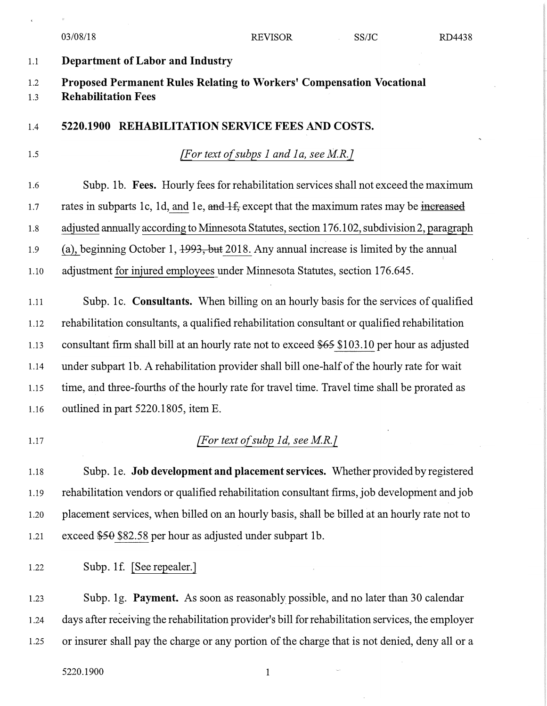|            | 03/08/18                                                                                            | <b>REVISOR</b>                         | SS/JC | RD4438 |
|------------|-----------------------------------------------------------------------------------------------------|----------------------------------------|-------|--------|
| 1.1        | <b>Department of Labor and Industry</b>                                                             |                                        |       |        |
| 1.2<br>1.3 | Proposed Permanent Rules Relating to Workers' Compensation Vocational<br><b>Rehabilitation Fees</b> |                                        |       |        |
| 1.4        | 5220.1900 REHABILITATION SERVICE FEES AND COSTS.                                                    |                                        |       |        |
| 1.5        |                                                                                                     | [For text of subps 1 and 1a, see M.R.] |       |        |
| 1.6        | Subp. 1b. Fees. Hourly fees for rehabilitation services shall not exceed the maximum                |                                        |       |        |
| 1.7        | rates in subparts 1c, 1d, and 1e, and 1f, except that the maximum rates may be increased            |                                        |       |        |
| 1.8        | adjusted annually according to Minnesota Statutes, section 176.102, subdivision 2, paragraph        |                                        |       |        |
| 1.9        | (a), beginning October 1, $1993$ , but 2018. Any annual increase is limited by the annual           |                                        |       |        |
| 1.10       | adjustment for injured employees under Minnesota Statutes, section 176.645.                         |                                        |       |        |
| 1.11       | Subp. 1c. Consultants. When billing on an hourly basis for the services of qualified                |                                        |       |        |
| 1.12       | rehabilitation consultants, a qualified rehabilitation consultant or qualified rehabilitation       |                                        |       |        |
| 1.13       | consultant firm shall bill at an hourly rate not to exceed \$65 \$103.10 per hour as adjusted       |                                        |       |        |
| 1.14       | under subpart 1b. A rehabilitation provider shall bill one-half of the hourly rate for wait         |                                        |       |        |
| 1.15       | time, and three-fourths of the hourly rate for travel time. Travel time shall be prorated as        |                                        |       |        |
| 1.16       | outlined in part 5220.1805, item E.                                                                 |                                        |       |        |
| 1.17       |                                                                                                     | [For text of subp 1d, see M.R.]        |       |        |
| 1.18       | Subp. 1e. Job development and placement services. Whether provided by registered                    |                                        |       |        |
| 1.19       | rehabilitation vendors or qualified rehabilitation consultant firms, job development and job        |                                        |       |        |
| 1.20       | placement services, when billed on an hourly basis, shall be billed at an hourly rate not to        |                                        |       |        |
| 1.21       | exceed \$50 \$82.58 per hour as adjusted under subpart 1b.                                          |                                        |       |        |
| 1.22       | Subp. 1f. [See repealer.]                                                                           |                                        |       |        |
| 1.23       | Subp. 1g. Payment. As soon as reasonably possible, and no later than 30 calendar                    |                                        |       |        |
| 1.24       | days after receiving the rehabilitation provider's bill for rehabilitation services, the employer   |                                        |       |        |
| 1.25       | or insurer shall pay the charge or any portion of the charge that is not denied, deny all or a      |                                        |       |        |

5220.1900 1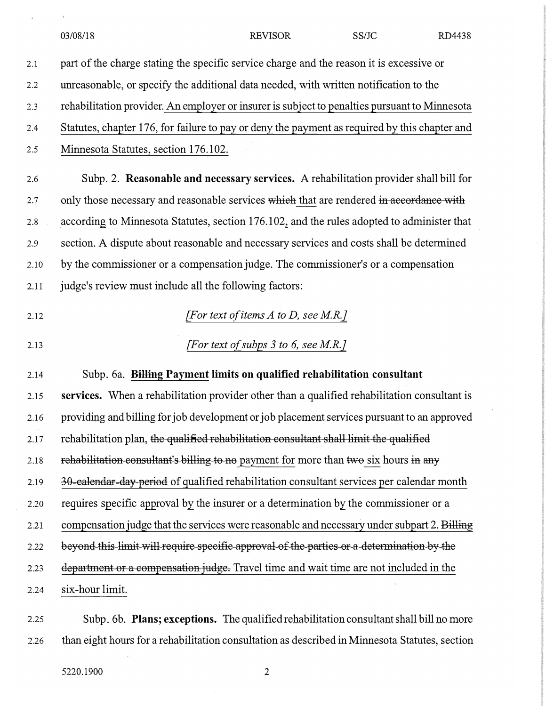|      | SS/JC<br>03/08/18<br><b>REVISOR</b><br>RD4438                                                 |  |  |  |
|------|-----------------------------------------------------------------------------------------------|--|--|--|
| 2.1  | part of the charge stating the specific service charge and the reason it is excessive or      |  |  |  |
| 2.2  | unreasonable, or specify the additional data needed, with written notification to the         |  |  |  |
| 2.3  | rehabilitation provider. An employer or insurer is subject to penalties pursuant to Minnesota |  |  |  |
| 2.4  | Statutes, chapter 176, for failure to pay or deny the payment as required by this chapter and |  |  |  |
| 2.5  | Minnesota Statutes, section 176.102.                                                          |  |  |  |
| 2.6  | Subp. 2. Reasonable and necessary services. A rehabilitation provider shall bill for          |  |  |  |
| 2.7  | only those necessary and reasonable services which that are rendered in accordance with       |  |  |  |
| 2.8  | according to Minnesota Statutes, section 176.102, and the rules adopted to administer that    |  |  |  |
| 2.9  | section. A dispute about reasonable and necessary services and costs shall be determined      |  |  |  |
| 2.10 | by the commissioner or a compensation judge. The commissioner's or a compensation             |  |  |  |
| 2.11 | judge's review must include all the following factors:                                        |  |  |  |
| 2.12 | [For text of items $A$ to $D$ , see M.R.]                                                     |  |  |  |
| 2.13 | [For text of subps $3$ to 6, see M.R.]                                                        |  |  |  |
| 2.14 | Subp. 6a. Billing Payment limits on qualified rehabilitation consultant                       |  |  |  |
| 2.15 | services. When a rehabilitation provider other than a qualified rehabilitation consultant is  |  |  |  |
| 2.16 | providing and billing for job development or job placement services pursuant to an approved   |  |  |  |
| 2.17 | rehabilitation plan, the qualified rehabilitation consultant shall limit the qualified        |  |  |  |
| 2.18 | rehabilitation consultant's billing to no payment for more than two six hours in any          |  |  |  |
| 2.19 | 30-ealendar-day-period of qualified rehabilitation consultant services per calendar month     |  |  |  |
| 2.20 | requires specific approval by the insurer or a determination by the commissioner or a         |  |  |  |
| 2.21 | compensation judge that the services were reasonable and necessary under subpart 2. Billing   |  |  |  |
| 2.22 | beyond this limit will require specific approval of the parties or a determination by the     |  |  |  |
| 2.23 | department or a compensation judge. Travel time and wait time are not included in the         |  |  |  |
| 2.24 | six-hour limit.                                                                               |  |  |  |
|      |                                                                                               |  |  |  |

2.25 Subp. 6b. **Plans; exceptions.** The qualified rehabilitation consultant shall bill no more 2.26 than eight hours for a rehabilitation consultation as described in Minnesota Statutes, section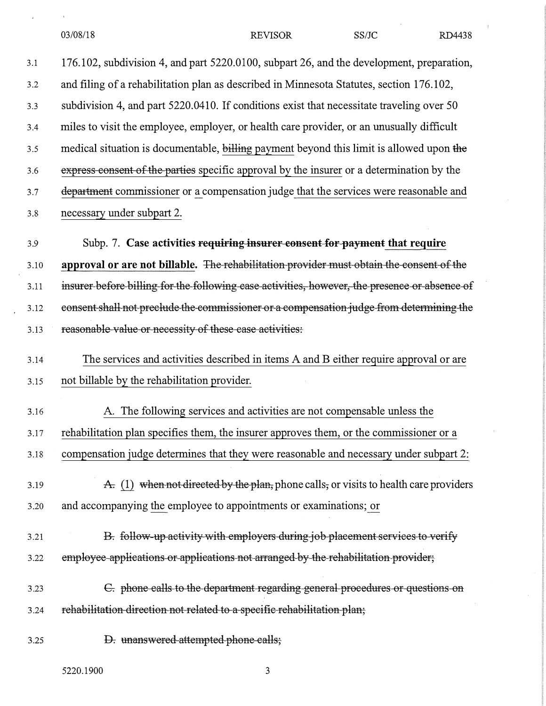| 03/08/18 |
|----------|
|----------|

03/08/18 REVISOR SS/JC RD4438

3.1 176.102, subdivision 4, and part 5220.0100, subpart 26, and the development, preparation, and filing of a rehabilitation plan as described in Minnesota Statutes, section 176.102, subdivision 4, and part 5220.0410. If conditions exist that necessitate traveling over 50 miles to visit the employee, employer, or health care provider, or an unusually difficult medical situation is documentable, billing payment beyond this limit is allowed upon the express consent of the parties specific approval by the insurer or a determination by the department commissioner or a compensation judge that the services were reasonable and necessary under subpart 2. 3.2 3.3 3.4 3.5 3.6 3.7 3.8 3.9 Subp. 7. **Case activities requiring insurer consent for payment that require approval or are not billable.** The rehabilitation provider must obtain the consent of the insurer before billing for the following case activities, however, the presence or absence of consent shall not preclude the commissioner or a compensation judge from determining the reasonable value or necessity of these case activities: 3.10 3.11 3 .12 3.13 3.14 The services and activities described in items A and B either require approval or are not billable by the rehabilitation provider. A. The following services and activities are not compensable unless the rehabilitation plan specifies them, the insurer approves them, or the commissioner or a compensation judge determines that they were reasonable and necessary under subpart 2: A. (1) when not directed by the plan, phone calls, or visits to health care providers and accompanying the employee to appointments or examinations; or B. follow-up activity with employers during job placement services to verify employee applications or applications not arranged by the rehabilitation provider; &. phone calls to the department regarding general procedures or questions on rehabilitation direction not related to a specific rehabilitation plan; 3.15 3.16 3.17 3.18 3 .19 3.20 3.21 3.22 3 .23 3.24

**D.** unanswered attempted phone calls; 3 .25

5220.1900 3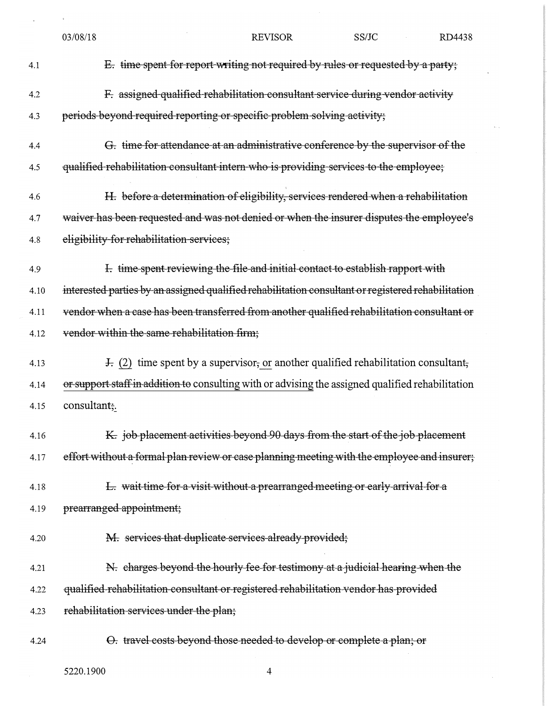|      | 03/08/18                                                                                           | <b>REVISOR</b> | SS/JC | RD4438 |  |
|------|----------------------------------------------------------------------------------------------------|----------------|-------|--------|--|
| 4.1  | E. time spent for report writing not required by rules or requested by a party;                    |                |       |        |  |
| 4.2  | F. assigned qualified rehabilitation consultant service during vendor activity                     |                |       |        |  |
| 4.3  | periods beyond required reporting or specific problem solving activity;                            |                |       |        |  |
| 4.4  | G. time for attendance at an administrative conference by the supervisor of the                    |                |       |        |  |
| 4.5  | qualified rehabilitation consultant intern who is providing services to the employee;              |                |       |        |  |
| 4.6  | H. before a determination of eligibility, services rendered when a rehabilitation                  |                |       |        |  |
| 4.7  | waiver has been requested and was not denied or when the insurer disputes the employee's           |                |       |        |  |
| 4.8  | eligibility for rehabilitation services;                                                           |                |       |        |  |
| 4.9  | I. time spent reviewing the file and initial contact to establish rapport with                     |                |       |        |  |
| 4.10 | interested parties by an assigned qualified rehabilitation consultant or registered rehabilitation |                |       |        |  |
| 4.11 | vendor when a case has been transferred from another qualified rehabilitation consultant or        |                |       |        |  |
| 4.12 | vendor within the same rehabilitation firm;                                                        |                |       |        |  |
| 4.13 | $\pm$ (2) time spent by a supervisor, or another qualified rehabilitation consultant,              |                |       |        |  |
| 4.14 | or support staff in addition to consulting with or advising the assigned qualified rehabilitation  |                |       |        |  |
| 4.15 | consultant;                                                                                        |                |       |        |  |
| 4.16 | K. job placement activities beyond 90 days from the start of the job placement                     |                |       |        |  |
| 4.17 | effort without a formal plan review or case planning meeting with the employee and insurer;        |                |       |        |  |
| 4.18 | E. wait time for a visit without a prearranged meeting or early arrival for a                      |                |       |        |  |
| 4.19 | prearranged appointment;                                                                           |                |       |        |  |
| 4.20 | M. services that duplicate services already provided;                                              |                |       |        |  |
| 4.21 | N. charges beyond the hourly fee for testimony at a judicial hearing when the                      |                |       |        |  |
| 4.22 | qualified rehabilitation consultant or registered rehabilitation vendor has provided               |                |       |        |  |
| 4.23 | rehabilitation services under the plan;                                                            |                |       |        |  |
| 4.24 | O. travel costs beyond those needed to develop or complete a plan; or                              |                |       |        |  |
|      | 5220.1900                                                                                          | 4              |       |        |  |